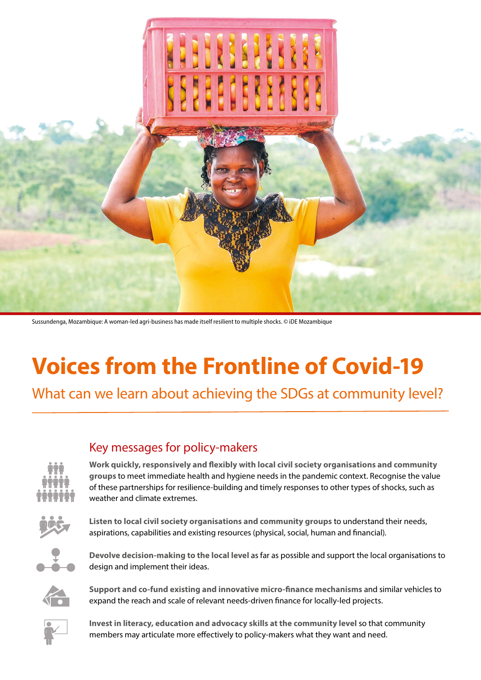

Sussundenga, Mozambique: A woman-led agri-business has made itself resilient to multiple shocks. © iDE Mozambique

# **Voices from the Frontline of Covid-19**

What can we learn about achieving the SDGs at community level?

## Key messages for policy-makers



**Work quickly, responsively and flexibly with local civil society organisations and community groups** to meet immediate health and hygiene needs in the pandemic context. Recognise the value of these partnerships for resilience-building and timely responses to other types of shocks, such as weather and climate extremes.



**Listen to local civil society organisations and community groups** to understand their needs, aspirations, capabilities and existing resources (physical, social, human and financial).



**Devolve decision-making to the local level** as far as possible and support the local organisations to design and implement their ideas.



**Support and co-fund existing and innovative micro-finance mechanisms** and similar vehicles to expand the reach and scale of relevant needs-driven finance for locally-led projects.



**Invest in literacy, education and advocacy skills at the community level** so that community members may articulate more effectively to policy-makers what they want and need.